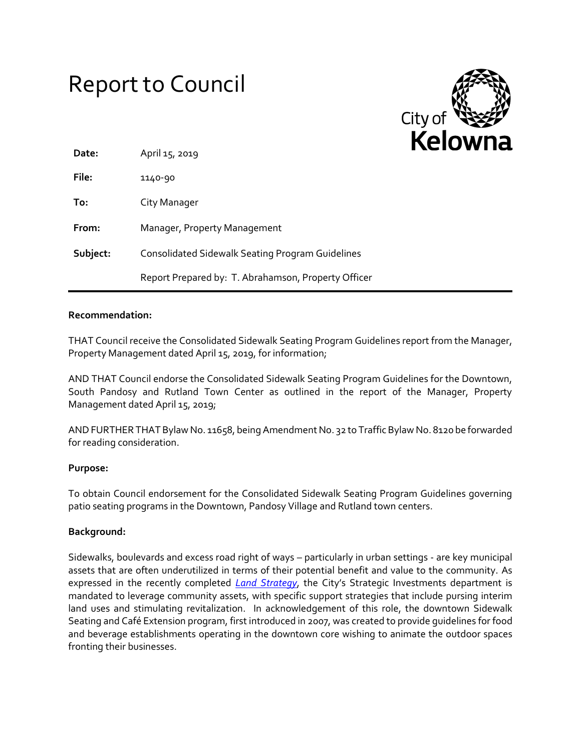# Report to Council



| Date:    | April 15, 2019                                          |  |  |  |  |  |
|----------|---------------------------------------------------------|--|--|--|--|--|
| File:    | 1140-90                                                 |  |  |  |  |  |
| To:      | City Manager                                            |  |  |  |  |  |
| From:    | Manager, Property Management                            |  |  |  |  |  |
| Subject: | <b>Consolidated Sidewalk Seating Program Guidelines</b> |  |  |  |  |  |
|          | Report Prepared by: T. Abrahamson, Property Officer     |  |  |  |  |  |

## **Recommendation:**

THAT Council receive the Consolidated Sidewalk Seating Program Guidelines report from the Manager, Property Management dated April 15, 2019, for information;

AND THAT Council endorse the Consolidated Sidewalk Seating Program Guidelines for the Downtown, South Pandosy and Rutland Town Center as outlined in the report of the Manager, Property Management dated April 15, 2019;

AND FURTHER THAT Bylaw No. 11658, being Amendment No. 32 to Traffic Bylaw No. 8120 be forwarded for reading consideration.

## **Purpose:**

To obtain Council endorsement for the Consolidated Sidewalk Seating Program Guidelines governing patio seating programs in the Downtown, Pandosy Village and Rutland town centers.

## **Background:**

Sidewalks, boulevards and excess road right of ways – particularly in urban settings - are key municipal assets that are often underutilized in terms of their potential benefit and value to the community. As expressed in the recently completed *[Land Strategy](https://kelownapublishing.escribemeetings.com/filestream.ashx?DocumentId=19640)*, the City's Strategic Investments department is mandated to leverage community assets, with specific support strategies that include pursing interim land uses and stimulating revitalization. In acknowledgement of this role, the downtown Sidewalk Seating and Café Extension program, first introduced in 2007, was created to provide guidelines for food and beverage establishments operating in the downtown core wishing to animate the outdoor spaces fronting their businesses.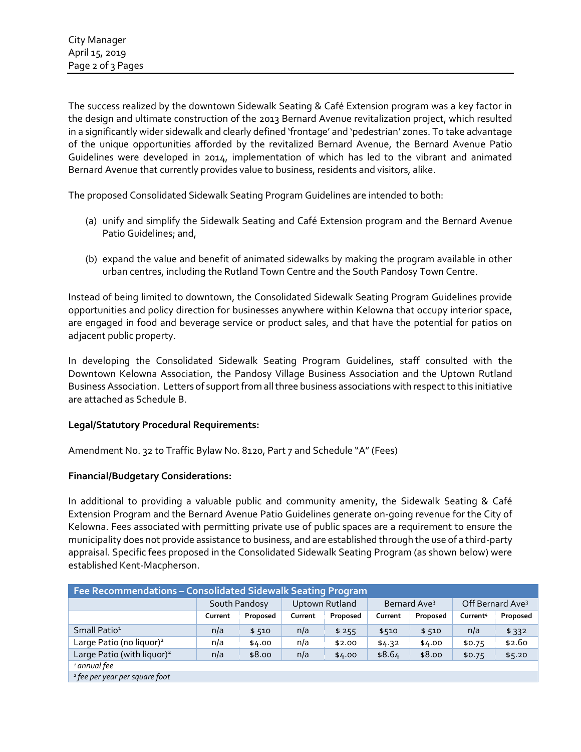The success realized by the downtown Sidewalk Seating & Café Extension program was a key factor in the design and ultimate construction of the 2013 Bernard Avenue revitalization project, which resulted in a significantly wider sidewalk and clearly defined 'frontage' and 'pedestrian' zones. To take advantage of the unique opportunities afforded by the revitalized Bernard Avenue, the Bernard Avenue Patio Guidelines were developed in 2014, implementation of which has led to the vibrant and animated Bernard Avenue that currently provides value to business, residents and visitors, alike.

The proposed Consolidated Sidewalk Seating Program Guidelines are intended to both:

- (a) unify and simplify the Sidewalk Seating and Café Extension program and the Bernard Avenue Patio Guidelines; and,
- (b) expand the value and benefit of animated sidewalks by making the program available in other urban centres, including the Rutland Town Centre and the South Pandosy Town Centre.

Instead of being limited to downtown, the Consolidated Sidewalk Seating Program Guidelines provide opportunities and policy direction for businesses anywhere within Kelowna that occupy interior space, are engaged in food and beverage service or product sales, and that have the potential for patios on adjacent public property.

In developing the Consolidated Sidewalk Seating Program Guidelines, staff consulted with the Downtown Kelowna Association, the Pandosy Village Business Association and the Uptown Rutland Business Association. Letters of support from all three business associations with respect to this initiative are attached as Schedule B.

# **Legal/Statutory Procedural Requirements:**

Amendment No. 32 to Traffic Bylaw No. 8120, Part 7 and Schedule "A" (Fees)

# **Financial/Budgetary Considerations:**

In additional to providing a valuable public and community amenity, the Sidewalk Seating & Café Extension Program and the Bernard Avenue Patio Guidelines generate on-going revenue for the City of Kelowna. Fees associated with permitting private use of public spaces are a requirement to ensure the municipality does not provide assistance to business, and are established through the use of a third-party appraisal. Specific fees proposed in the Consolidated Sidewalk Seating Program (as shown below) were established Kent-Macpherson.

| Fee Recommendations - Consolidated Sidewalk Seating Program |               |          |                |          |                          |          |                              |          |  |  |
|-------------------------------------------------------------|---------------|----------|----------------|----------|--------------------------|----------|------------------------------|----------|--|--|
|                                                             | South Pandosy |          | Uptown Rutland |          | Bernard Ave <sup>3</sup> |          | Off Bernard Ave <sup>3</sup> |          |  |  |
|                                                             | Current       | Proposed | Current        | Proposed | Current                  | Proposed | Current <sup>4</sup>         | Proposed |  |  |
| Small Patio <sup>1</sup>                                    | n/a           | \$510    | n/a            | \$255    | \$510                    | \$510    | n/a                          | \$332    |  |  |
| Large Patio (no liquor) <sup>2</sup>                        | n/a           | \$4.00   | n/a            | \$2.00   | \$4.32                   | \$4.00   | \$0.75                       | \$2.60   |  |  |
| Large Patio (with liquor) <sup>2</sup>                      | n/a           | \$8.00   | n/a            | \$4.00   | \$8.64                   | \$8.00   | \$0.75                       | \$5.20   |  |  |
| <sup>1</sup> annual fee                                     |               |          |                |          |                          |          |                              |          |  |  |
| <sup>2</sup> fee per year per square foot                   |               |          |                |          |                          |          |                              |          |  |  |